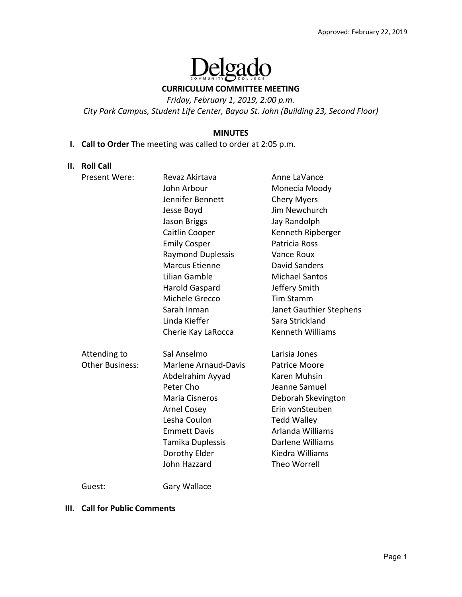

#### **CURRICULUM COMMITTEE MEETING**

*Friday, February 1, 2019, 2:00 p.m.* 

*City Park Campus, Student Life Center, Bayou St. John (Building 23, Second Floor)* 

#### **MINUTES**

## **I. Call to Order** The meeting was called to order at 2:05 p.m.

#### **II. Roll Call**

| Present Were:          | Revaz Akirtava              | Anne LaVance            |
|------------------------|-----------------------------|-------------------------|
|                        | John Arbour                 | Monecia Moody           |
|                        | Jennifer Bennett            | <b>Chery Myers</b>      |
|                        | Jesse Boyd                  | Jim Newchurch           |
|                        | Jason Briggs                | Jay Randolph            |
|                        | Caitlin Cooper              | Kenneth Ripberger       |
|                        | <b>Emily Cosper</b>         | Patricia Ross           |
|                        | <b>Raymond Duplessis</b>    | Vance Roux              |
|                        | <b>Marcus Etienne</b>       | <b>David Sanders</b>    |
|                        | Lilian Gamble               | <b>Michael Santos</b>   |
|                        | <b>Harold Gaspard</b>       | Jeffery Smith           |
|                        | Michele Grecco              | <b>Tim Stamm</b>        |
|                        | Sarah Inman                 | Janet Gauthier Stephens |
|                        | Linda Kieffer               | Sara Strickland         |
|                        | Cherie Kay LaRocca          | <b>Kenneth Williams</b> |
| Attending to           | Sal Anselmo                 | Larisia Jones           |
| <b>Other Business:</b> | <b>Marlene Arnaud-Davis</b> | Patrice Moore           |
|                        | Abdelrahim Ayyad            | Karen Muhsin            |
|                        | Peter Cho                   | Jeanne Samuel           |
|                        | Maria Cisneros              | Deborah Skevington      |
|                        | <b>Arnel Cosey</b>          | Erin vonSteuben         |
|                        | Lesha Coulon                | <b>Tedd Walley</b>      |
|                        | <b>Emmett Davis</b>         | Arlanda Williams        |
|                        | Tamika Duplessis            | Darlene Williams        |
|                        | Dorothy Elder               | Kiedra Williams         |
|                        | John Hazzard                | <b>Theo Worrell</b>     |
|                        |                             |                         |

Guest: Gary Wallace

#### **III. Call for Public Comments**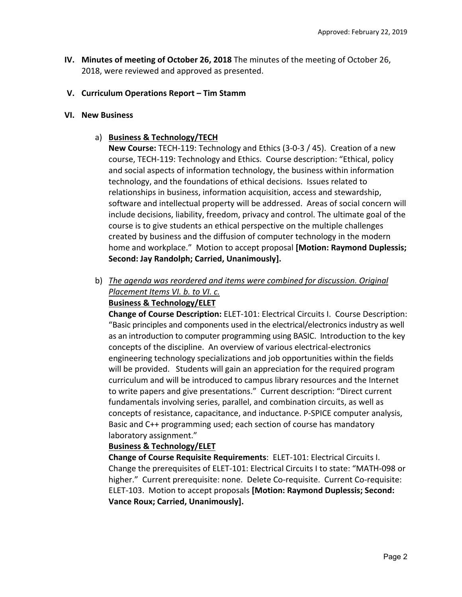**IV. Minutes of meeting of October 26, 2018** The minutes of the meeting of October 26, 2018, were reviewed and approved as presented.

### **V. Curriculum Operations Report – Tim Stamm**

#### **VI. New Business**

### a) **Business & Technology/TECH**

**New Course:** TECH‐119: Technology and Ethics (3‐0‐3 / 45). Creation of a new course, TECH‐119: Technology and Ethics. Course description: "Ethical, policy and social aspects of information technology, the business within information technology, and the foundations of ethical decisions. Issues related to relationships in business, information acquisition, access and stewardship, software and intellectual property will be addressed. Areas of social concern will include decisions, liability, freedom, privacy and control. The ultimate goal of the course is to give students an ethical perspective on the multiple challenges created by business and the diffusion of computer technology in the modern home and workplace." Motion to accept proposal **[Motion: Raymond Duplessis; Second: Jay Randolph; Carried, Unanimously].** 

### b) *The agenda was reordered and items were combined for discussion. Original Placement Items VI. b. to VI. c.*  **Business & Technology/ELET**

**Change of Course Description:** ELET‐101: Electrical Circuits I. Course Description: "Basic principles and components used in the electrical/electronics industry as well as an introduction to computer programming using BASIC. Introduction to the key concepts of the discipline. An overview of various electrical‐electronics engineering technology specializations and job opportunities within the fields will be provided. Students will gain an appreciation for the required program curriculum and will be introduced to campus library resources and the Internet to write papers and give presentations." Current description: "Direct current fundamentals involving series, parallel, and combination circuits, as well as concepts of resistance, capacitance, and inductance. P‐SPICE computer analysis, Basic and C++ programming used; each section of course has mandatory laboratory assignment."

# **Business & Technology/ELET**

**Change of Course Requisite Requirements**: ELET‐101: Electrical Circuits I. Change the prerequisites of ELET‐101: Electrical Circuits I to state: "MATH‐098 or higher." Current prerequisite: none. Delete Co-requisite. Current Co-requisite: ELET‐103. Motion to accept proposals **[Motion: Raymond Duplessis; Second: Vance Roux; Carried, Unanimously].**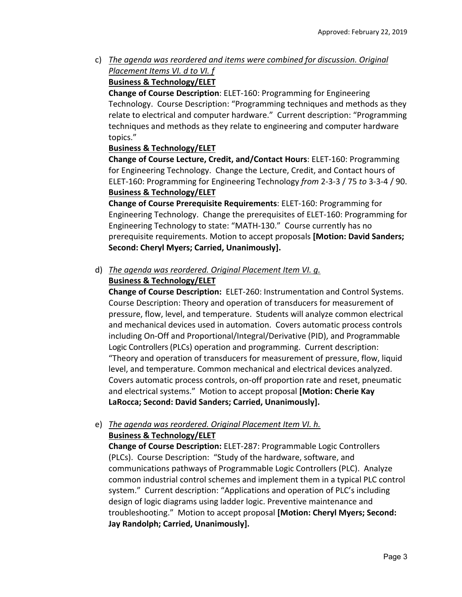c) *The agenda was reordered and items were combined for discussion. Original Placement Items VI. d to VI. f* 

# **Business & Technology/ELET**

**Change of Course Description**: ELET‐160: Programming for Engineering Technology. Course Description: "Programming techniques and methods as they relate to electrical and computer hardware." Current description: "Programming techniques and methods as they relate to engineering and computer hardware topics."

# **Business & Technology/ELET**

**Change of Course Lecture, Credit, and/Contact Hours**: ELET‐160: Programming for Engineering Technology. Change the Lecture, Credit, and Contact hours of ELET‐160: Programming for Engineering Technology *from* 2‐3‐3 / 75 *to* 3‐3‐4 / 90. **Business & Technology/ELET**

# **Change of Course Prerequisite Requirements**: ELET‐160: Programming for Engineering Technology. Change the prerequisites of ELET‐160: Programming for Engineering Technology to state: "MATH‐130." Course currently has no prerequisite requirements. Motion to accept proposals **[Motion: David Sanders; Second: Cheryl Myers; Carried, Unanimously].**

# d) *The agenda was reordered. Original Placement Item VI. g.*

# **Business & Technology/ELET**

**Change of Course Description:**  ELET‐260: Instrumentation and Control Systems. Course Description: Theory and operation of transducers for measurement of pressure, flow, level, and temperature. Students will analyze common electrical and mechanical devices used in automation. Covers automatic process controls including On‐Off and Proportional/Integral/Derivative (PID), and Programmable Logic Controllers (PLCs) operation and programming. Current description: "Theory and operation of transducers for measurement of pressure, flow, liquid level, and temperature. Common mechanical and electrical devices analyzed. Covers automatic process controls, on‐off proportion rate and reset, pneumatic and electrical systems." Motion to accept proposal **[Motion: Cherie Kay LaRocca; Second: David Sanders; Carried, Unanimously].**

# e) *The agenda was reordered. Original Placement Item VI. h.*  **Business & Technology/ELET**

**Change of Course Description:** ELET‐287: Programmable Logic Controllers (PLCs). Course Description: "Study of the hardware, software, and communications pathways of Programmable Logic Controllers (PLC). Analyze common industrial control schemes and implement them in a typical PLC control system." Current description: "Applications and operation of PLC's including design of logic diagrams using ladder logic. Preventive maintenance and troubleshooting." Motion to accept proposal **[Motion: Cheryl Myers; Second: Jay Randolph; Carried, Unanimously].**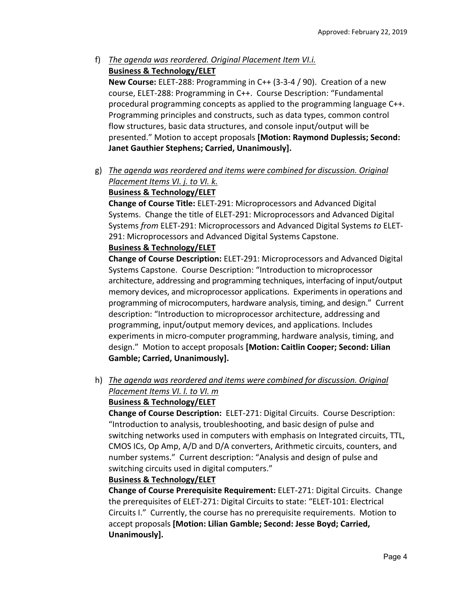f) *The agenda was reordered. Original Placement Item VI.i.*  **Business & Technology/ELET** 

**New Course:** ELET‐288: Programming in C++ (3‐3‐4 / 90). Creation of a new course, ELET‐288: Programming in C++. Course Description: "Fundamental procedural programming concepts as applied to the programming language C++. Programming principles and constructs, such as data types, common control flow structures, basic data structures, and console input/output will be presented." Motion to accept proposals **[Motion: Raymond Duplessis; Second: Janet Gauthier Stephens; Carried, Unanimously].**

g) *The agenda was reordered and items were combined for discussion. Original Placement Items VI. j. to VI. k.* 

# **Business & Technology/ELET**

**Change of Course Title:** ELET‐291: Microprocessors and Advanced Digital Systems. Change the title of ELET‐291: Microprocessors and Advanced Digital Systems *from* ELET‐291: Microprocessors and Advanced Digital Systems *to* ELET‐ 291: Microprocessors and Advanced Digital Systems Capstone.

# **Business & Technology/ELET**

**Change of Course Description:** ELET‐291: Microprocessors and Advanced Digital Systems Capstone. Course Description: "Introduction to microprocessor architecture, addressing and programming techniques, interfacing of input/output memory devices, and microprocessor applications. Experiments in operations and programming of microcomputers, hardware analysis, timing, and design." Current description: "Introduction to microprocessor architecture, addressing and programming, input/output memory devices, and applications. Includes experiments in micro-computer programming, hardware analysis, timing, and design." Motion to accept proposals **[Motion: Caitlin Cooper; Second: Lilian Gamble; Carried, Unanimously].**

h) *The agenda was reordered and items were combined for discussion. Original Placement Items VI. l. to VI. m* 

# **Business & Technology/ELET**

**Change of Course Description: ELET-271: Digital Circuits. Course Description:** "Introduction to analysis, troubleshooting, and basic design of pulse and switching networks used in computers with emphasis on Integrated circuits, TTL, CMOS ICs, Op Amp, A/D and D/A converters, Arithmetic circuits, counters, and number systems." Current description: "Analysis and design of pulse and switching circuits used in digital computers."

### **Business & Technology/ELET**

**Change of Course Prerequisite Requirement:** ELET‐271: Digital Circuits. Change the prerequisites of ELET‐271: Digital Circuits to state: "ELET‐101: Electrical Circuits I." Currently, the course has no prerequisite requirements. Motion to accept proposals **[Motion: Lilian Gamble; Second: Jesse Boyd; Carried, Unanimously].**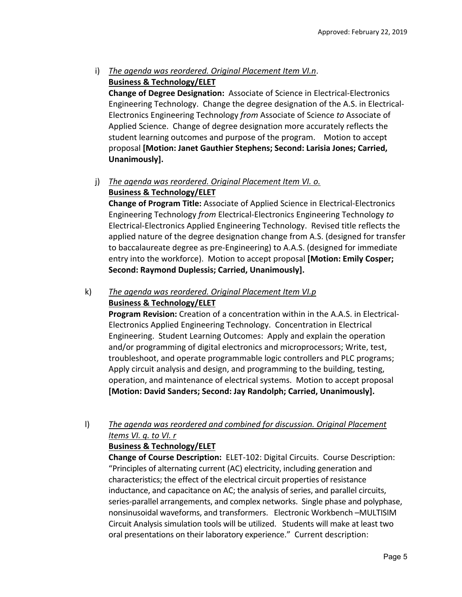# i) *The agenda was reordered. Original Placement Item VI.n*. **Business & Technology/ELET**

**Change of Degree Designation:**  Associate of Science in Electrical‐Electronics Engineering Technology. Change the degree designation of the A.S. in Electrical‐ Electronics Engineering Technology *from* Associate of Science *to* Associate of Applied Science. Change of degree designation more accurately reflects the student learning outcomes and purpose of the program. Motion to accept proposal **[Motion: Janet Gauthier Stephens; Second: Larisia Jones; Carried, Unanimously].**

# j) *The agenda was reordered. Original Placement Item VI. o.*  **Business & Technology/ELET**

**Change of Program Title:** Associate of Applied Science in Electrical‐Electronics Engineering Technology *from* Electrical‐Electronics Engineering Technology *to* Electrical‐Electronics Applied Engineering Technology. Revised title reflects the applied nature of the degree designation change from A.S. (designed for transfer to baccalaureate degree as pre‐Engineering) to A.A.S. (designed for immediate entry into the workforce). Motion to accept proposal **[Motion: Emily Cosper; Second: Raymond Duplessis; Carried, Unanimously].** 

# k) *The agenda was reordered. Original Placement Item VI.p*  **Business & Technology/ELET**

**Program Revision:** Creation of a concentration within in the A.A.S. in Electrical‐ Electronics Applied Engineering Technology. Concentration in Electrical Engineering. Student Learning Outcomes: Apply and explain the operation and/or programming of digital electronics and microprocessors; Write, test, troubleshoot, and operate programmable logic controllers and PLC programs; Apply circuit analysis and design, and programming to the building, testing, operation, and maintenance of electrical systems. Motion to accept proposal **[Motion: David Sanders; Second: Jay Randolph; Carried, Unanimously].** 

# l) *The agenda was reordered and combined for discussion. Original Placement Items VI. q. to VI. r*

# **Business & Technology/ELET**

**Change of Course Description:** ELET‐102: Digital Circuits. Course Description: "Principles of alternating current (AC) electricity, including generation and characteristics; the effect of the electrical circuit properties of resistance inductance, and capacitance on AC; the analysis of series, and parallel circuits, series‐parallel arrangements, and complex networks. Single phase and polyphase, nonsinusoidal waveforms, and transformers. Electronic Workbench –MULTISIM Circuit Analysis simulation tools will be utilized. Students will make at least two oral presentations on their laboratory experience." Current description: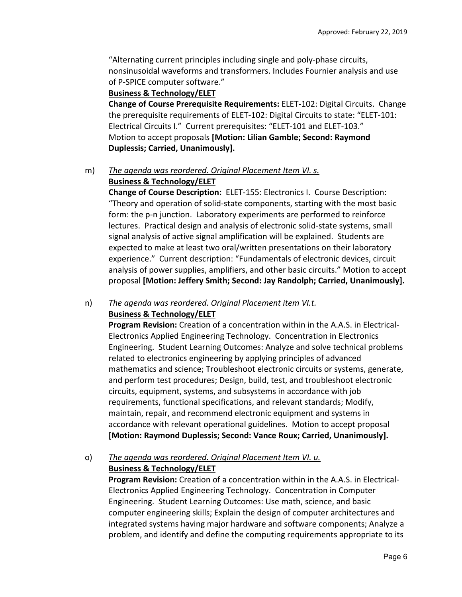"Alternating current principles including single and poly‐phase circuits, nonsinusoidal waveforms and transformers. Includes Fournier analysis and use of P‐SPICE computer software."

### **Business & Technology/ELET**

**Change of Course Prerequisite Requirements:** ELET‐102: Digital Circuits. Change the prerequisite requirements of ELET‐102: Digital Circuits to state: "ELET‐101: Electrical Circuits I." Current prerequisites: "ELET‐101 and ELET‐103." Motion to accept proposals **[Motion: Lilian Gamble; Second: Raymond Duplessis; Carried, Unanimously].** 

# m) *The agenda was reordered. Original Placement Item VI. s.*

### **Business & Technology/ELET**

**Change of Course Description: ELET-155: Electronics I. Course Description:** "Theory and operation of solid‐state components, starting with the most basic form: the p-n junction. Laboratory experiments are performed to reinforce lectures. Practical design and analysis of electronic solid‐state systems, small signal analysis of active signal amplification will be explained. Students are expected to make at least two oral/written presentations on their laboratory experience." Current description: "Fundamentals of electronic devices, circuit analysis of power supplies, amplifiers, and other basic circuits." Motion to accept proposal **[Motion: Jeffery Smith; Second: Jay Randolph; Carried, Unanimously].**

### n) *The agenda was reordered. Original Placement item VI.t.*  **Business & Technology/ELET**

**Program Revision:** Creation of a concentration within in the A.A.S. in Electrical‐ Electronics Applied Engineering Technology. Concentration in Electronics Engineering. Student Learning Outcomes: Analyze and solve technical problems related to electronics engineering by applying principles of advanced mathematics and science; Troubleshoot electronic circuits or systems, generate, and perform test procedures; Design, build, test, and troubleshoot electronic circuits, equipment, systems, and subsystems in accordance with job requirements, functional specifications, and relevant standards; Modify, maintain, repair, and recommend electronic equipment and systems in accordance with relevant operational guidelines. Motion to accept proposal **[Motion: Raymond Duplessis; Second: Vance Roux; Carried, Unanimously].** 

# o) *The agenda was reordered. Original Placement Item VI. u.*

# **Business & Technology/ELET**

**Program Revision:** Creation of a concentration within in the A.A.S. in Electrical‐ Electronics Applied Engineering Technology. Concentration in Computer Engineering. Student Learning Outcomes: Use math, science, and basic computer engineering skills; Explain the design of computer architectures and integrated systems having major hardware and software components; Analyze a problem, and identify and define the computing requirements appropriate to its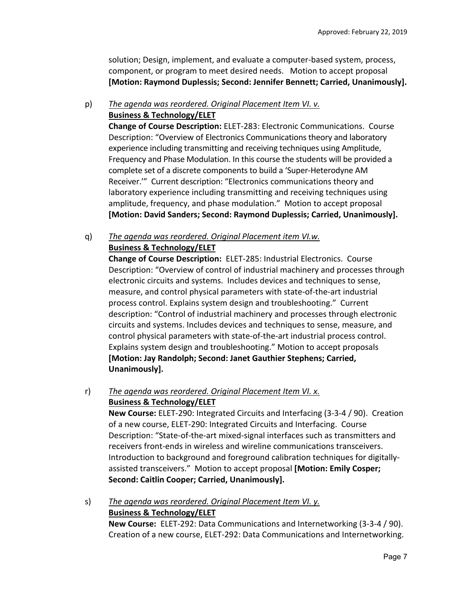solution; Design, implement, and evaluate a computer‐based system, process, component, or program to meet desired needs. Motion to accept proposal **[Motion: Raymond Duplessis; Second: Jennifer Bennett; Carried, Unanimously].** 

### p) *The agenda was reordered. Original Placement Item VI. v.*  **Business & Technology/ELET**

**Change of Course Description:** ELET‐283: Electronic Communications. Course Description: "Overview of Electronics Communications theory and laboratory experience including transmitting and receiving techniques using Amplitude, Frequency and Phase Modulation. In this course the students will be provided a complete set of a discrete components to build a 'Super‐Heterodyne AM Receiver.'" Current description: "Electronics communications theory and laboratory experience including transmitting and receiving techniques using amplitude, frequency, and phase modulation." Motion to accept proposal **[Motion: David Sanders; Second: Raymond Duplessis; Carried, Unanimously].** 

q) *The agenda was reordered. Original Placement item VI.w.*  **Business & Technology/ELET** 

**Change of Course Description: ELET-285: Industrial Electronics. Course** Description: "Overview of control of industrial machinery and processes through electronic circuits and systems. Includes devices and techniques to sense, measure, and control physical parameters with state‐of‐the‐art industrial process control. Explains system design and troubleshooting." Current description: "Control of industrial machinery and processes through electronic circuits and systems. Includes devices and techniques to sense, measure, and control physical parameters with state‐of‐the‐art industrial process control. Explains system design and troubleshooting." Motion to accept proposals **[Motion: Jay Randolph; Second: Janet Gauthier Stephens; Carried, Unanimously].** 

### r) *The agenda was reordered. Original Placement Item VI. x.*  **Business & Technology/ELET**

**New Course:** ELET‐290: Integrated Circuits and Interfacing (3‐3‐4 / 90). Creation of a new course, ELET‐290: Integrated Circuits and Interfacing. Course Description: "State-of-the-art mixed-signal interfaces such as transmitters and receivers front‐ends in wireless and wireline communications transceivers. Introduction to background and foreground calibration techniques for digitally‐ assisted transceivers." Motion to accept proposal **[Motion: Emily Cosper; Second: Caitlin Cooper; Carried, Unanimously].** 

# s) *The agenda was reordered. Original Placement Item VI. y.*  **Business & Technology/ELET New Course:** ELET‐292: Data Communications and Internetworking (3‐3‐4 / 90). Creation of a new course, ELET‐292: Data Communications and Internetworking.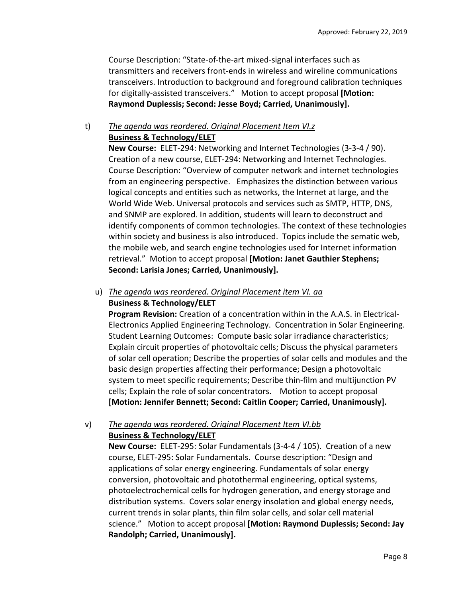Course Description: "State‐of‐the‐art mixed‐signal interfaces such as transmitters and receivers front‐ends in wireless and wireline communications transceivers. Introduction to background and foreground calibration techniques for digitally‐assisted transceivers." Motion to accept proposal **[Motion: Raymond Duplessis; Second: Jesse Boyd; Carried, Unanimously].** 

# t) *The agenda was reordered. Original Placement Item VI.z*  **Business & Technology/ELET**

**New Course:** ELET-294: Networking and Internet Technologies (3-3-4 / 90). Creation of a new course, ELET‐294: Networking and Internet Technologies. Course Description: "Overview of computer network and internet technologies from an engineering perspective. Emphasizes the distinction between various logical concepts and entities such as networks, the Internet at large, and the World Wide Web. Universal protocols and services such as SMTP, HTTP, DNS, and SNMP are explored. In addition, students will learn to deconstruct and identify components of common technologies. The context of these technologies within society and business is also introduced. Topics include the sematic web, the mobile web, and search engine technologies used for Internet information retrieval." Motion to accept proposal **[Motion: Janet Gauthier Stephens; Second: Larisia Jones; Carried, Unanimously].** 

# u) *The agenda was reordered. Original Placement item VI. aa*  **Business & Technology/ELET**

**Program Revision:** Creation of a concentration within in the A.A.S. in Electrical‐ Electronics Applied Engineering Technology. Concentration in Solar Engineering. Student Learning Outcomes: Compute basic solar irradiance characteristics; Explain circuit properties of photovoltaic cells; Discuss the physical parameters of solar cell operation; Describe the properties of solar cells and modules and the basic design properties affecting their performance; Design a photovoltaic system to meet specific requirements; Describe thin‐film and multijunction PV cells; Explain the role of solar concentrators. Motion to accept proposal **[Motion: Jennifer Bennett; Second: Caitlin Cooper; Carried, Unanimously].** 

# v) *The agenda was reordered. Original Placement Item VI.bb*  **Business & Technology/ELET**

**New Course:** ELET‐295: Solar Fundamentals (3‐4‐4 / 105). Creation of a new course, ELET‐295: Solar Fundamentals. Course description: "Design and applications of solar energy engineering. Fundamentals of solar energy conversion, photovoltaic and photothermal engineering, optical systems, photoelectrochemical cells for hydrogen generation, and energy storage and distribution systems. Covers solar energy insolation and global energy needs, current trends in solar plants, thin film solar cells, and solar cell material science." Motion to accept proposal **[Motion: Raymond Duplessis; Second: Jay Randolph; Carried, Unanimously].**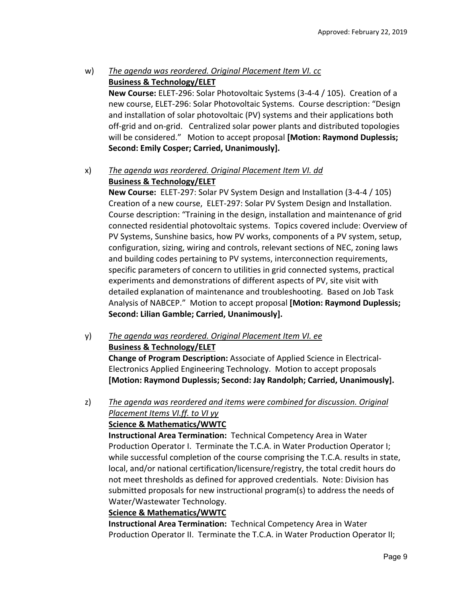# w) *The agenda was reordered. Original Placement Item VI. cc*  **Business & Technology/ELET**

**New Course:** ELET‐296: Solar Photovoltaic Systems (3‐4‐4 / 105). Creation of a new course, ELET‐296: Solar Photovoltaic Systems. Course description: "Design and installation of solar photovoltaic (PV) systems and their applications both off‐grid and on‐grid. Centralized solar power plants and distributed topologies will be considered." Motion to accept proposal **[Motion: Raymond Duplessis; Second: Emily Cosper; Carried, Unanimously].** 

## x) *The agenda was reordered. Original Placement Item VI. dd*  **Business & Technology/ELET**

**New Course:** ELET-297: Solar PV System Design and Installation (3-4-4 / 105) Creation of a new course, ELET‐297: Solar PV System Design and Installation. Course description: "Training in the design, installation and maintenance of grid connected residential photovoltaic systems. Topics covered include: Overview of PV Systems, Sunshine basics, how PV works, components of a PV system, setup, configuration, sizing, wiring and controls, relevant sections of NEC, zoning laws and building codes pertaining to PV systems, interconnection requirements, specific parameters of concern to utilities in grid connected systems, practical experiments and demonstrations of different aspects of PV, site visit with detailed explanation of maintenance and troubleshooting. Based on Job Task Analysis of NABCEP." Motion to accept proposal **[Motion: Raymond Duplessis; Second: Lilian Gamble; Carried, Unanimously].** 

y) *The agenda was reordered. Original Placement Item VI. ee*  **Business & Technology/ELET Change of Program Description:** Associate of Applied Science in Electrical‐ Electronics Applied Engineering Technology. Motion to accept proposals **[Motion: Raymond Duplessis; Second: Jay Randolph; Carried, Unanimously].** 

# z) *The agenda was reordered and items were combined for discussion. Original Placement Items VI.ff. to VI yy*

### **Science & Mathematics/WWTC**

**Instructional Area Termination:** Technical Competency Area in Water Production Operator I. Terminate the T.C.A. in Water Production Operator I; while successful completion of the course comprising the T.C.A. results in state, local, and/or national certification/licensure/registry, the total credit hours do not meet thresholds as defined for approved credentials. Note: Division has submitted proposals for new instructional program(s) to address the needs of Water/Wastewater Technology.

# **Science & Mathematics/WWTC**

**Instructional Area Termination:** Technical Competency Area in Water Production Operator II. Terminate the T.C.A. in Water Production Operator II;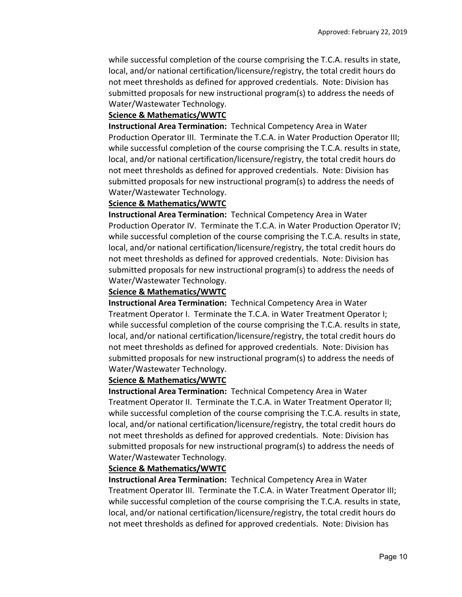while successful completion of the course comprising the T.C.A. results in state, local, and/or national certification/licensure/registry, the total credit hours do not meet thresholds as defined for approved credentials. Note: Division has submitted proposals for new instructional program(s) to address the needs of Water/Wastewater Technology.

#### **Science & Mathematics/WWTC**

**Instructional Area Termination:** Technical Competency Area in Water Production Operator III. Terminate the T.C.A. in Water Production Operator III; while successful completion of the course comprising the T.C.A. results in state, local, and/or national certification/licensure/registry, the total credit hours do not meet thresholds as defined for approved credentials. Note: Division has submitted proposals for new instructional program(s) to address the needs of Water/Wastewater Technology.

#### **Science & Mathematics/WWTC**

**Instructional Area Termination:** Technical Competency Area in Water Production Operator IV. Terminate the T.C.A. in Water Production Operator IV; while successful completion of the course comprising the T.C.A. results in state, local, and/or national certification/licensure/registry, the total credit hours do not meet thresholds as defined for approved credentials. Note: Division has submitted proposals for new instructional program(s) to address the needs of Water/Wastewater Technology.

#### **Science & Mathematics/WWTC**

**Instructional Area Termination:** Technical Competency Area in Water Treatment Operator I. Terminate the T.C.A. in Water Treatment Operator I; while successful completion of the course comprising the T.C.A. results in state, local, and/or national certification/licensure/registry, the total credit hours do not meet thresholds as defined for approved credentials. Note: Division has submitted proposals for new instructional program(s) to address the needs of Water/Wastewater Technology.

#### **Science & Mathematics/WWTC**

**Instructional Area Termination:** Technical Competency Area in Water Treatment Operator II. Terminate the T.C.A. in Water Treatment Operator II; while successful completion of the course comprising the T.C.A. results in state, local, and/or national certification/licensure/registry, the total credit hours do not meet thresholds as defined for approved credentials. Note: Division has submitted proposals for new instructional program(s) to address the needs of Water/Wastewater Technology.

#### **Science & Mathematics/WWTC**

**Instructional Area Termination:** Technical Competency Area in Water Treatment Operator III. Terminate the T.C.A. in Water Treatment Operator III; while successful completion of the course comprising the T.C.A. results in state, local, and/or national certification/licensure/registry, the total credit hours do not meet thresholds as defined for approved credentials. Note: Division has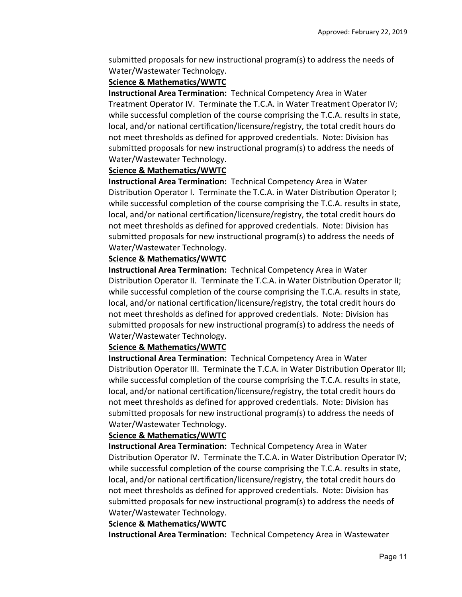submitted proposals for new instructional program(s) to address the needs of Water/Wastewater Technology.

### **Science & Mathematics/WWTC**

**Instructional Area Termination:** Technical Competency Area in Water Treatment Operator IV. Terminate the T.C.A. in Water Treatment Operator IV; while successful completion of the course comprising the T.C.A. results in state, local, and/or national certification/licensure/registry, the total credit hours do not meet thresholds as defined for approved credentials. Note: Division has submitted proposals for new instructional program(s) to address the needs of Water/Wastewater Technology.

### **Science & Mathematics/WWTC**

**Instructional Area Termination:** Technical Competency Area in Water Distribution Operator I. Terminate the T.C.A. in Water Distribution Operator I; while successful completion of the course comprising the T.C.A. results in state, local, and/or national certification/licensure/registry, the total credit hours do not meet thresholds as defined for approved credentials. Note: Division has submitted proposals for new instructional program(s) to address the needs of Water/Wastewater Technology.

### **Science & Mathematics/WWTC**

**Instructional Area Termination:** Technical Competency Area in Water Distribution Operator II. Terminate the T.C.A. in Water Distribution Operator II; while successful completion of the course comprising the T.C.A. results in state, local, and/or national certification/licensure/registry, the total credit hours do not meet thresholds as defined for approved credentials. Note: Division has submitted proposals for new instructional program(s) to address the needs of Water/Wastewater Technology.

### **Science & Mathematics/WWTC**

**Instructional Area Termination:** Technical Competency Area in Water Distribution Operator III. Terminate the T.C.A. in Water Distribution Operator III; while successful completion of the course comprising the T.C.A. results in state, local, and/or national certification/licensure/registry, the total credit hours do not meet thresholds as defined for approved credentials. Note: Division has submitted proposals for new instructional program(s) to address the needs of Water/Wastewater Technology.

### **Science & Mathematics/WWTC**

**Instructional Area Termination:** Technical Competency Area in Water Distribution Operator IV. Terminate the T.C.A. in Water Distribution Operator IV; while successful completion of the course comprising the T.C.A. results in state, local, and/or national certification/licensure/registry, the total credit hours do not meet thresholds as defined for approved credentials. Note: Division has submitted proposals for new instructional program(s) to address the needs of Water/Wastewater Technology.

### **Science & Mathematics/WWTC**

**Instructional Area Termination:** Technical Competency Area in Wastewater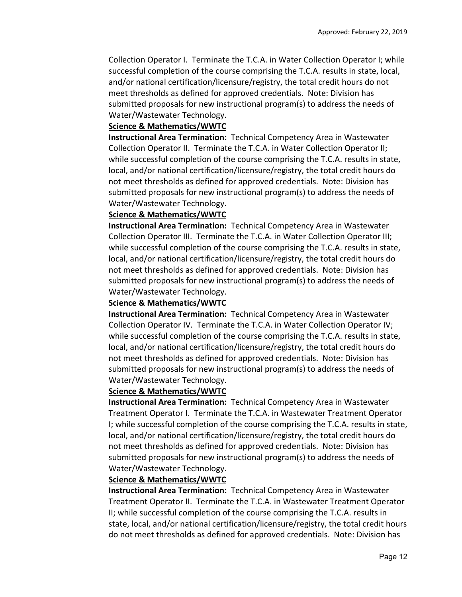Collection Operator I. Terminate the T.C.A. in Water Collection Operator I; while successful completion of the course comprising the T.C.A. results in state, local, and/or national certification/licensure/registry, the total credit hours do not meet thresholds as defined for approved credentials. Note: Division has submitted proposals for new instructional program(s) to address the needs of Water/Wastewater Technology.

#### **Science & Mathematics/WWTC**

**Instructional Area Termination:** Technical Competency Area in Wastewater Collection Operator II. Terminate the T.C.A. in Water Collection Operator II; while successful completion of the course comprising the T.C.A. results in state, local, and/or national certification/licensure/registry, the total credit hours do not meet thresholds as defined for approved credentials. Note: Division has submitted proposals for new instructional program(s) to address the needs of Water/Wastewater Technology.

#### **Science & Mathematics/WWTC**

**Instructional Area Termination:** Technical Competency Area in Wastewater Collection Operator III. Terminate the T.C.A. in Water Collection Operator III; while successful completion of the course comprising the T.C.A. results in state, local, and/or national certification/licensure/registry, the total credit hours do not meet thresholds as defined for approved credentials. Note: Division has submitted proposals for new instructional program(s) to address the needs of Water/Wastewater Technology.

#### **Science & Mathematics/WWTC**

**Instructional Area Termination:** Technical Competency Area in Wastewater Collection Operator IV. Terminate the T.C.A. in Water Collection Operator IV; while successful completion of the course comprising the T.C.A. results in state, local, and/or national certification/licensure/registry, the total credit hours do not meet thresholds as defined for approved credentials. Note: Division has submitted proposals for new instructional program(s) to address the needs of Water/Wastewater Technology.

### **Science & Mathematics/WWTC**

**Instructional Area Termination:** Technical Competency Area in Wastewater Treatment Operator I. Terminate the T.C.A. in Wastewater Treatment Operator I; while successful completion of the course comprising the T.C.A. results in state, local, and/or national certification/licensure/registry, the total credit hours do not meet thresholds as defined for approved credentials. Note: Division has submitted proposals for new instructional program(s) to address the needs of Water/Wastewater Technology.

#### **Science & Mathematics/WWTC**

**Instructional Area Termination:** Technical Competency Area in Wastewater Treatment Operator II. Terminate the T.C.A. in Wastewater Treatment Operator II; while successful completion of the course comprising the T.C.A. results in state, local, and/or national certification/licensure/registry, the total credit hours do not meet thresholds as defined for approved credentials. Note: Division has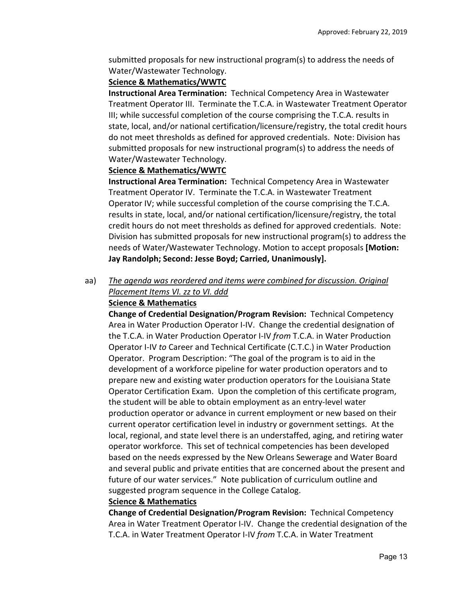submitted proposals for new instructional program(s) to address the needs of Water/Wastewater Technology.

# **Science & Mathematics/WWTC**

**Instructional Area Termination:** Technical Competency Area in Wastewater Treatment Operator III. Terminate the T.C.A. in Wastewater Treatment Operator III; while successful completion of the course comprising the T.C.A. results in state, local, and/or national certification/licensure/registry, the total credit hours do not meet thresholds as defined for approved credentials. Note: Division has submitted proposals for new instructional program(s) to address the needs of Water/Wastewater Technology.

# **Science & Mathematics/WWTC**

**Instructional Area Termination:** Technical Competency Area in Wastewater Treatment Operator IV. Terminate the T.C.A. in Wastewater Treatment Operator IV; while successful completion of the course comprising the T.C.A. results in state, local, and/or national certification/licensure/registry, the total credit hours do not meet thresholds as defined for approved credentials. Note: Division has submitted proposals for new instructional program(s) to address the needs of Water/Wastewater Technology. Motion to accept proposals **[Motion: Jay Randolph; Second: Jesse Boyd; Carried, Unanimously].**

# aa) *The agenda was reordered and items were combined for discussion. Original Placement Items VI. zz to VI. ddd*

# **Science & Mathematics**

**Change of Credential Designation/Program Revision:** Technical Competency Area in Water Production Operator I‐IV. Change the credential designation of the T.C.A. in Water Production Operator I‐IV *from* T.C.A. in Water Production Operator I‐IV *to* Career and Technical Certificate (C.T.C.) in Water Production Operator. Program Description: "The goal of the program is to aid in the development of a workforce pipeline for water production operators and to prepare new and existing water production operators for the Louisiana State Operator Certification Exam. Upon the completion of this certificate program, the student will be able to obtain employment as an entry‐level water production operator or advance in current employment or new based on their current operator certification level in industry or government settings. At the local, regional, and state level there is an understaffed, aging, and retiring water operator workforce. This set of technical competencies has been developed based on the needs expressed by the New Orleans Sewerage and Water Board and several public and private entities that are concerned about the present and future of our water services." Note publication of curriculum outline and suggested program sequence in the College Catalog.

# **Science & Mathematics**

**Change of Credential Designation/Program Revision:** Technical Competency Area in Water Treatment Operator I‐IV. Change the credential designation of the T.C.A. in Water Treatment Operator I‐IV *from* T.C.A. in Water Treatment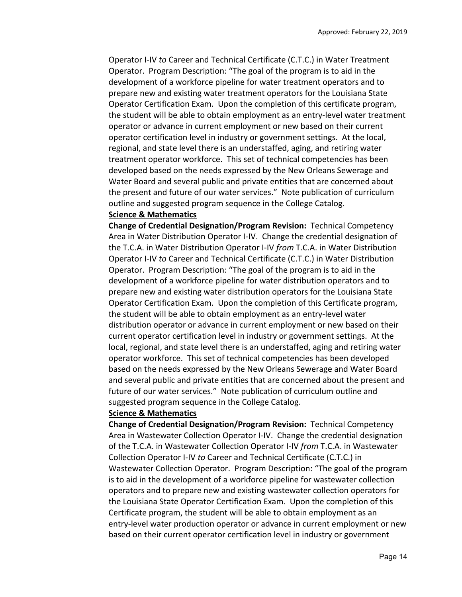Operator I‐IV *to* Career and Technical Certificate (C.T.C.) in Water Treatment Operator. Program Description: "The goal of the program is to aid in the development of a workforce pipeline for water treatment operators and to prepare new and existing water treatment operators for the Louisiana State Operator Certification Exam. Upon the completion of this certificate program, the student will be able to obtain employment as an entry‐level water treatment operator or advance in current employment or new based on their current operator certification level in industry or government settings. At the local, regional, and state level there is an understaffed, aging, and retiring water treatment operator workforce. This set of technical competencies has been developed based on the needs expressed by the New Orleans Sewerage and Water Board and several public and private entities that are concerned about the present and future of our water services." Note publication of curriculum outline and suggested program sequence in the College Catalog.

#### **Science & Mathematics**

**Change of Credential Designation/Program Revision:** Technical Competency Area in Water Distribution Operator I‐IV. Change the credential designation of the T.C.A. in Water Distribution Operator I‐IV *from* T.C.A. in Water Distribution Operator I‐IV *to* Career and Technical Certificate (C.T.C.) in Water Distribution Operator. Program Description: "The goal of the program is to aid in the development of a workforce pipeline for water distribution operators and to prepare new and existing water distribution operators for the Louisiana State Operator Certification Exam. Upon the completion of this Certificate program, the student will be able to obtain employment as an entry‐level water distribution operator or advance in current employment or new based on their current operator certification level in industry or government settings. At the local, regional, and state level there is an understaffed, aging and retiring water operator workforce. This set of technical competencies has been developed based on the needs expressed by the New Orleans Sewerage and Water Board and several public and private entities that are concerned about the present and future of our water services." Note publication of curriculum outline and suggested program sequence in the College Catalog.

#### **Science & Mathematics**

**Change of Credential Designation/Program Revision:** Technical Competency Area in Wastewater Collection Operator I‐IV. Change the credential designation of the T.C.A. in Wastewater Collection Operator I‐IV *from* T.C.A. in Wastewater Collection Operator I‐IV *to* Career and Technical Certificate (C.T.C.) in Wastewater Collection Operator. Program Description: "The goal of the program is to aid in the development of a workforce pipeline for wastewater collection operators and to prepare new and existing wastewater collection operators for the Louisiana State Operator Certification Exam. Upon the completion of this Certificate program, the student will be able to obtain employment as an entry‐level water production operator or advance in current employment or new based on their current operator certification level in industry or government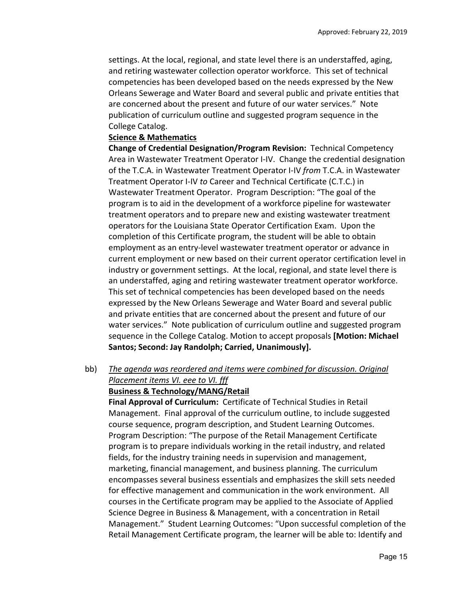settings. At the local, regional, and state level there is an understaffed, aging, and retiring wastewater collection operator workforce. This set of technical competencies has been developed based on the needs expressed by the New Orleans Sewerage and Water Board and several public and private entities that are concerned about the present and future of our water services." Note publication of curriculum outline and suggested program sequence in the College Catalog.

#### **Science & Mathematics**

**Change of Credential Designation/Program Revision:** Technical Competency Area in Wastewater Treatment Operator I‐IV. Change the credential designation of the T.C.A. in Wastewater Treatment Operator I‐IV *from* T.C.A. in Wastewater Treatment Operator I‐IV *to* Career and Technical Certificate (C.T.C.) in Wastewater Treatment Operator. Program Description: "The goal of the program is to aid in the development of a workforce pipeline for wastewater treatment operators and to prepare new and existing wastewater treatment operators for the Louisiana State Operator Certification Exam. Upon the completion of this Certificate program, the student will be able to obtain employment as an entry‐level wastewater treatment operator or advance in current employment or new based on their current operator certification level in industry or government settings. At the local, regional, and state level there is an understaffed, aging and retiring wastewater treatment operator workforce. This set of technical competencies has been developed based on the needs expressed by the New Orleans Sewerage and Water Board and several public and private entities that are concerned about the present and future of our water services." Note publication of curriculum outline and suggested program sequence in the College Catalog. Motion to accept proposals **[Motion: Michael Santos; Second: Jay Randolph; Carried, Unanimously].**

bb) *The agenda was reordered and items were combined for discussion. Original Placement items VI. eee to VI. fff* 

#### **Business & Technology/MANG/Retail**

**Final Approval of Curriculum:** Certificate of Technical Studies in Retail Management. Final approval of the curriculum outline, to include suggested course sequence, program description, and Student Learning Outcomes. Program Description: "The purpose of the Retail Management Certificate program is to prepare individuals working in the retail industry, and related fields, for the industry training needs in supervision and management, marketing, financial management, and business planning. The curriculum encompasses several business essentials and emphasizes the skill sets needed for effective management and communication in the work environment. All courses in the Certificate program may be applied to the Associate of Applied Science Degree in Business & Management, with a concentration in Retail Management." Student Learning Outcomes: "Upon successful completion of the Retail Management Certificate program, the learner will be able to: Identify and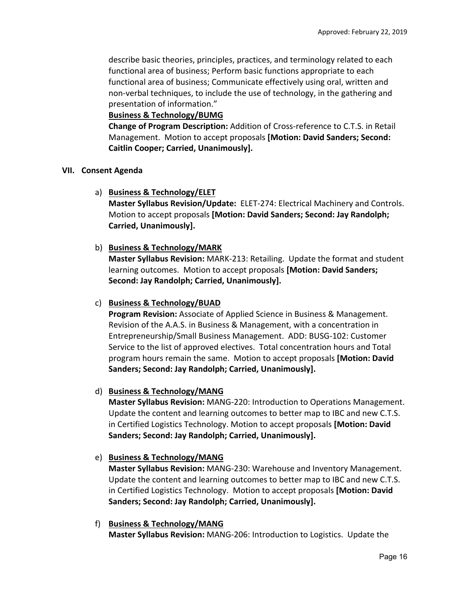describe basic theories, principles, practices, and terminology related to each functional area of business; Perform basic functions appropriate to each functional area of business; Communicate effectively using oral, written and non-verbal techniques, to include the use of technology, in the gathering and presentation of information."

### **Business & Technology/BUMG**

**Change of Program Description:** Addition of Cross‐reference to C.T.S. in Retail Management. Motion to accept proposals **[Motion: David Sanders; Second: Caitlin Cooper; Carried, Unanimously].**

### **VII. Consent Agenda**

a) **Business & Technology/ELET** 

**Master Syllabus Revision/Update:** ELET‐274: Electrical Machinery and Controls. Motion to accept proposals **[Motion: David Sanders; Second: Jay Randolph; Carried, Unanimously].**

### b) **Business & Technology/MARK**

**Master Syllabus Revision:** MARK‐213: Retailing. Update the format and student learning outcomes. Motion to accept proposals **[Motion: David Sanders; Second: Jay Randolph; Carried, Unanimously].**

### c) **Business & Technology/BUAD**

**Program Revision:** Associate of Applied Science in Business & Management. Revision of the A.A.S. in Business & Management, with a concentration in Entrepreneurship/Small Business Management. ADD: BUSG‐102: Customer Service to the list of approved electives. Total concentration hours and Total program hours remain the same. Motion to accept proposals **[Motion: David Sanders; Second: Jay Randolph; Carried, Unanimously].**

### d) **Business & Technology/MANG**

**Master Syllabus Revision:** MANG‐220: Introduction to Operations Management. Update the content and learning outcomes to better map to IBC and new C.T.S. in Certified Logistics Technology. Motion to accept proposals **[Motion: David Sanders; Second: Jay Randolph; Carried, Unanimously].**

### e) **Business & Technology/MANG**

**Master Syllabus Revision:** MANG‐230: Warehouse and Inventory Management. Update the content and learning outcomes to better map to IBC and new C.T.S. in Certified Logistics Technology. Motion to accept proposals **[Motion: David Sanders; Second: Jay Randolph; Carried, Unanimously].**

#### f) **Business & Technology/MANG Master Syllabus Revision:** MANG‐206: Introduction to Logistics. Update the